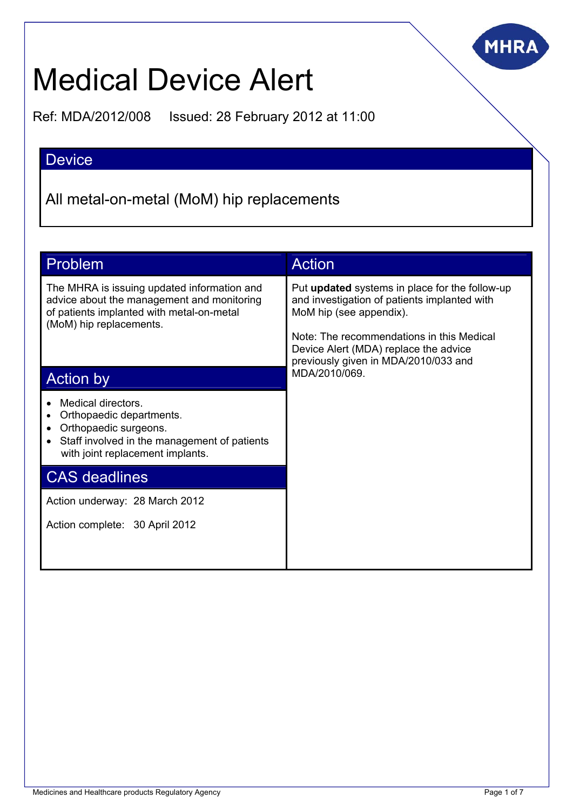

# Medical Device Alert

Ref: MDA/2012/008 Issued: 28 February 2012 at 11:00

# Device

All metal-on-metal (MoM) hip replacements

| Problem                                                                                                                                                           | <b>Action</b>                                                                                                                                                                                                                                           |  |  |
|-------------------------------------------------------------------------------------------------------------------------------------------------------------------|---------------------------------------------------------------------------------------------------------------------------------------------------------------------------------------------------------------------------------------------------------|--|--|
| The MHRA is issuing updated information and<br>advice about the management and monitoring<br>of patients implanted with metal-on-metal<br>(MoM) hip replacements. | Put updated systems in place for the follow-up<br>and investigation of patients implanted with<br>MoM hip (see appendix).<br>Note: The recommendations in this Medical<br>Device Alert (MDA) replace the advice<br>previously given in MDA/2010/033 and |  |  |
| <b>Action by</b>                                                                                                                                                  | MDA/2010/069.                                                                                                                                                                                                                                           |  |  |
| Medical directors.<br>Orthopaedic departments.<br>Orthopaedic surgeons.<br>Staff involved in the management of patients<br>with joint replacement implants.       |                                                                                                                                                                                                                                                         |  |  |
| <b>CAS deadlines</b>                                                                                                                                              |                                                                                                                                                                                                                                                         |  |  |
| Action underway: 28 March 2012                                                                                                                                    |                                                                                                                                                                                                                                                         |  |  |
| Action complete: 30 April 2012                                                                                                                                    |                                                                                                                                                                                                                                                         |  |  |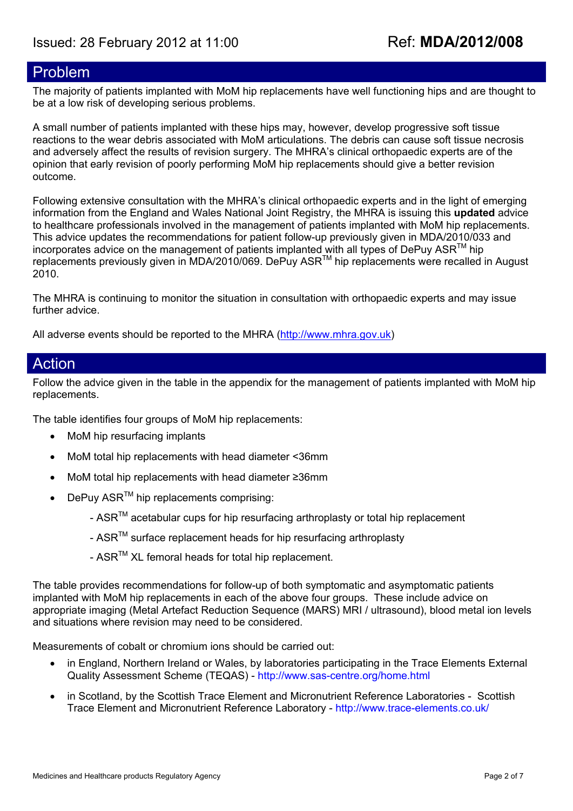# Problem

The majority of patients implanted with MoM hip replacements have well functioning hips and are thought to be at a low risk of developing serious problems.

A small number of patients implanted with these hips may, however, develop progressive soft tissue reactions to the wear debris associated with MoM articulations. The debris can cause soft tissue necrosis and adversely affect the results of revision surgery. The MHRA's clinical orthopaedic experts are of the opinion that early revision of poorly performing MoM hip replacements should give a better revision outcome.

Following extensive consultation with the MHRA's clinical orthopaedic experts and in the light of emerging information from the England and Wales National Joint Registry, the MHRA is issuing this **updated** advice to healthcare professionals involved in the management of patients implanted with MoM hip replacements. This advice updates the recommendations for patient follow-up previously given in MDA/2010/033 and incorporates advice on the management of patients implanted with all types of DePuy ASR<sup>TM</sup> hip replacements previously given in MDA/2010/069. DePuy ASRTM hip replacements were recalled in August 2010.

The MHRA is continuing to monitor the situation in consultation with orthopaedic experts and may issue further advice.

All adverse events should be reported to the MHRA [\(http://www.mhra.gov.uk](http://www.mhra.gov.uk/))

## Action

Follow the advice given in the table in the appendix for the management of patients implanted with MoM hip replacements.

The table identifies four groups of MoM hip replacements:

- MoM hip resurfacing implants
- MoM total hip replacements with head diameter <36mm
- MoM total hip replacements with head diameter ≥36mm
- $DePuv ASR^{TM}$  hip replacements comprising:
	- $ASR^{TM}$  acetabular cups for hip resurfacing arthroplasty or total hip replacement
	- ASR<sup>™</sup> surface replacement heads for hip resurfacing arthroplasty
	- ASR<sup>™</sup> XL femoral heads for total hip replacement.

The table provides recommendations for follow-up of both symptomatic and asymptomatic patients implanted with MoM hip replacements in each of the above four groups. These include advice on appropriate imaging (Metal Artefact Reduction Sequence (MARS) MRI / ultrasound), blood metal ion levels and situations where revision may need to be considered.

Measurements of cobalt or chromium ions should be carried out:

- in England, Northern Ireland or Wales, by laboratories participating in the Trace Elements External Quality Assessment Scheme (TEQAS) - <http://www.sas-centre.org/home.html>
- in Scotland, by the [Scottish](http://www.trace-elements.co.uk/) Trace Element and Micronutrient Reference Laboratories Scottish [Trace Element and Micronutrient Reference Laboratory](http://www.trace-elements.co.uk/) - <http://www.trace-elements.co.uk/>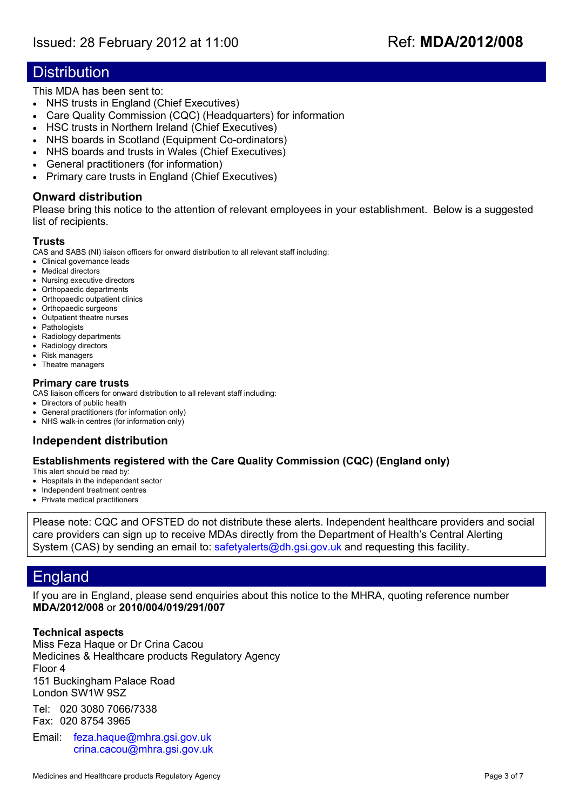# **Distribution**

This MDA has been sent to:

- NHS trusts in England (Chief Executives)
- Care Quality Commission (CQC) (Headquarters) for information
- HSC trusts in Northern Ireland (Chief Executives)
- NHS boards in Scotland (Equipment Co-ordinators)
- NHS boards and trusts in Wales (Chief Executives)
- General practitioners (for information)
- Primary care trusts in England (Chief Executives)

#### **Onward distribution**

Please bring this notice to the attention of relevant employees in your establishment. Below is a suggested list of recipients.

#### **Trusts**

CAS and SABS (NI) liaison officers for onward distribution to all relevant staff including:

- Clinical governance leads
- Medical directors
- Nursing executive directors
- Orthopaedic departments
- Orthopaedic outpatient clinics
- Orthopaedic surgeons
- Outpatient theatre nurses
- Pathologists
- Radiology departments • Radiology directors
- Risk managers
- Theatre managers

#### **Primary care trusts**

CAS liaison officers for onward distribution to all relevant staff including:

- Directors of public health
- General practitioners (for information only)
- NHS walk-in centres (for information only)

#### **Independent distribution**

#### **Establishments registered with the Care Quality Commission (CQC) (England only)**

This alert should be read by:

- Hospitals in the independent sector
- Independent treatment centres
- Private medical practitioners

Please note: CQC and OFSTED do not distribute these alerts. Independent healthcare providers and social care providers can sign up to receive MDAs directly from the Department of Health's Central Alerting System (CAS) by sending an email to: [safetyalerts@dh.gsi.gov.uk](mailto:safetyalerts@dh.gsi.gov.uk) and requesting this facility.

# England

If you are in England, please send enquiries about this notice to the MHRA, quoting reference number **MDA/2012/008** or **2010/004/019/291/007** 

#### **Technical aspects**

Miss Feza Haque or Dr Crina Cacou Medicines & Healthcare products Regulatory Agency Floor 4 151 Buckingham Palace Road London SW1W 9SZ

Tel: 020 3080 7066/7338 Fax: 020 8754 3965

Email: [feza.haque@mhra.gsi.gov.uk](mailto::feza.haque@mhra.gsi.gov.uk) [crina.cacou@mhra.gsi.gov.uk](mailto:crina.cacou@mhra.gsi.gov.uk)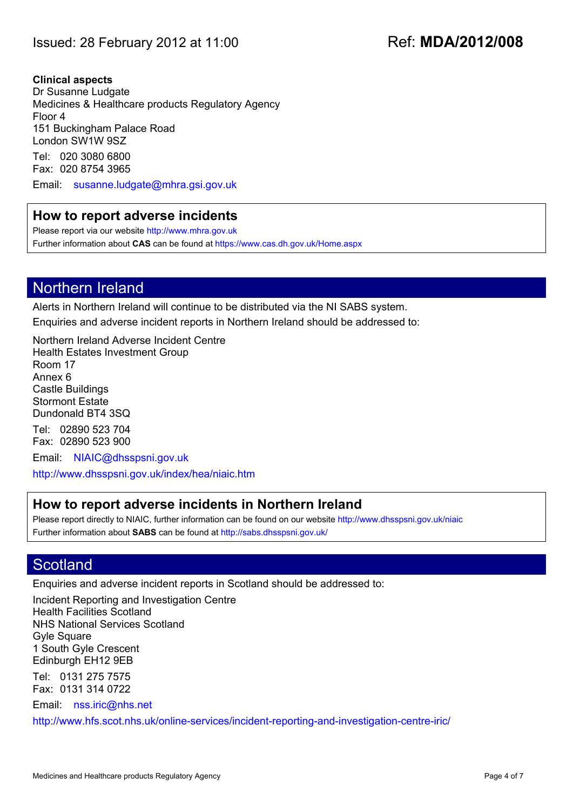#### **Clinical aspects**

Dr Susanne Ludgate Medicines & Healthcare products Regulatory Agency Floor 4 151 Buckingham Palace Road London SW1W 9SZ

Tel: 020 3080 6800 Fax: 020 8754 3965

Email: [susanne.ludgate@mhra.gsi.gov.uk](mailto:susanne.ludgate@mhra.gsi.gov.uk)

### **How to report adverse incidents**

Please report via our website [http://www.mhra.gov.uk](http://www.mhra.gov.uk/) Further information about **CAS** can be found at <https://www.cas.dh.gov.uk/Home.aspx>

# Northern Ireland

Alerts in Northern Ireland will continue to be distributed via the NI SABS system. Enquiries and adverse incident reports in Northern Ireland should be addressed to:

Northern Ireland Adverse Incident Centre Health Estates Investment Group Room 17 Annex 6 Castle Buildings Stormont Estate Dundonald BT4 3SQ Tel: 02890 523 704

Fax: 02890 523 900 Email: [NIAIC@dhsspsni.gov.uk](mailto:NIAIC@dhsspsni.gov.uk)

<http://www.dhsspsni.gov.uk/index/hea/niaic.htm>

### **How to report adverse incidents in Northern Ireland**

Please report directly to NIAIC, further information can be found on our website<http://www.dhsspsni.gov.uk/niaic> Further information about **SABS** can be found at <http://sabs.dhsspsni.gov.uk/>

# **Scotland**

Enquiries and adverse incident reports in Scotland should be addressed to:

Incident Reporting and Investigation Centre Health Facilities Scotland NHS National Services Scotland Gyle Square 1 South Gyle Crescent Edinburgh EH12 9EB

Tel: 0131 275 7575 Fax: 0131 314 0722

Email: [nss.iric@nhs.net](mailto:nss.iric@nhs.net)

<http://www.hfs.scot.nhs.uk/online-services/incident-reporting-and-investigation-centre-iric/>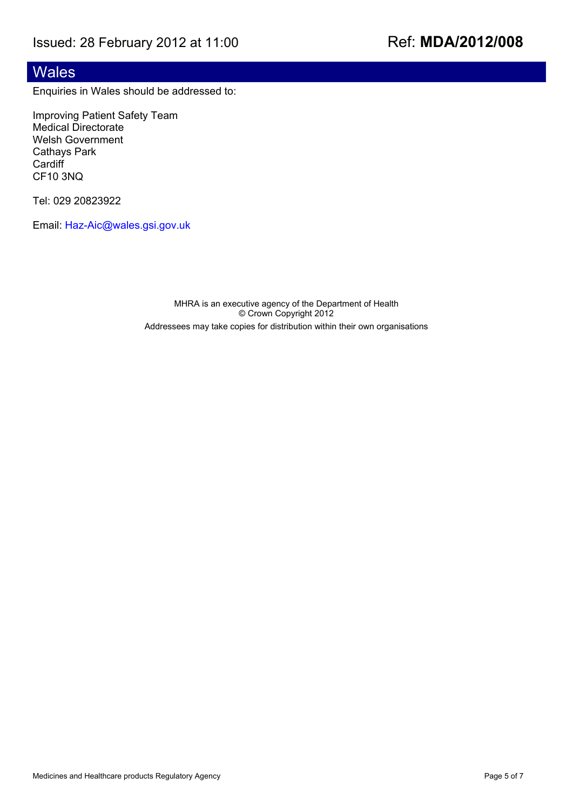# Wales

Enquiries in Wales should be addressed to:

Improving Patient Safety Team Medical Directorate Welsh Government Cathays Park **Cardiff** CF10 3NQ

Tel: 029 20823922

Email: [Haz-Aic@wales.gsi.gov.uk](mailto:Haz-Aic@wales.gsi.gov.uk)

MHRA is an executive agency of the Department of Health © Crown Copyright 2012 Addressees may take copies for distribution within their own organisations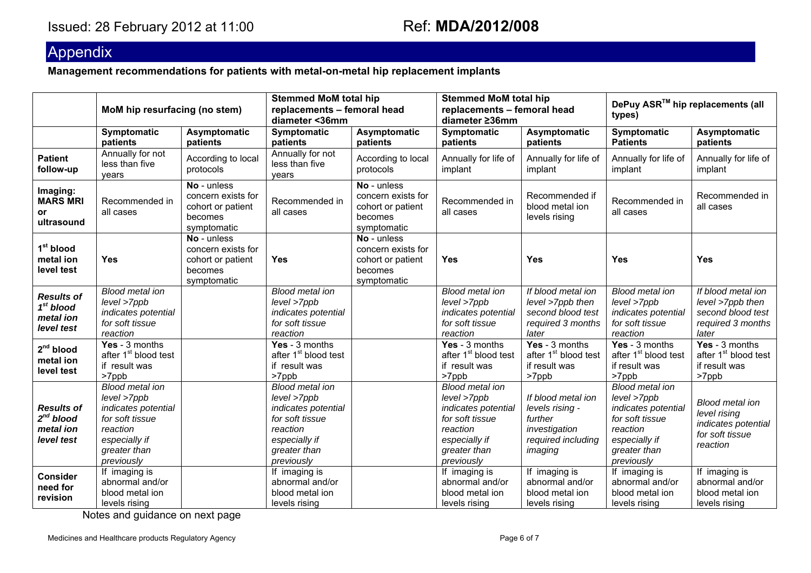# Appendix

**Management recommendations for patients with metal-on-metal hip replacement implants** 

|                                                                | MoM hip resurfacing (no stem)                                                                                                              |                                                                                  | <b>Stemmed MoM total hip</b><br>replacements - femoral head<br>diameter <36mm                                                              |                                                                                  | <b>Stemmed MoM total hip</b><br>replacements - femoral head<br>diameter ≥36mm                                                              |                                                                                                    | DePuy ASR <sup>™</sup> hip replacements (all<br>types)                                                                                     |                                                                                              |
|----------------------------------------------------------------|--------------------------------------------------------------------------------------------------------------------------------------------|----------------------------------------------------------------------------------|--------------------------------------------------------------------------------------------------------------------------------------------|----------------------------------------------------------------------------------|--------------------------------------------------------------------------------------------------------------------------------------------|----------------------------------------------------------------------------------------------------|--------------------------------------------------------------------------------------------------------------------------------------------|----------------------------------------------------------------------------------------------|
|                                                                | Symptomatic<br>patients                                                                                                                    | Asymptomatic<br>patients                                                         | Symptomatic<br>patients                                                                                                                    | Asymptomatic<br>patients                                                         | Symptomatic<br>patients                                                                                                                    | Asymptomatic<br>patients                                                                           | Symptomatic<br><b>Patients</b>                                                                                                             | Asymptomatic<br>patients                                                                     |
| <b>Patient</b><br>follow-up                                    | Annually for not<br>less than five<br>vears                                                                                                | According to local<br>protocols                                                  | Annually for not<br>less than five<br>vears                                                                                                | According to local<br>protocols                                                  | Annually for life of<br>implant                                                                                                            | Annually for life of<br>implant                                                                    | Annually for life of<br>implant                                                                                                            | Annually for life of<br>implant                                                              |
| Imaging:<br><b>MARS MRI</b><br>or<br>ultrasound                | Recommended in<br>all cases                                                                                                                | No - unless<br>concern exists for<br>cohort or patient<br>becomes<br>symptomatic | Recommended in<br>all cases                                                                                                                | No - unless<br>concern exists for<br>cohort or patient<br>becomes<br>symptomatic | Recommended in<br>all cases                                                                                                                | Recommended if<br>blood metal ion<br>levels rising                                                 | Recommended in<br>all cases                                                                                                                | Recommended in<br>all cases                                                                  |
| 1 <sup>st</sup> blood<br>metal ion<br>level test               | <b>Yes</b>                                                                                                                                 | No - unless<br>concern exists for<br>cohort or patient<br>becomes<br>symptomatic | <b>Yes</b>                                                                                                                                 | No - unless<br>concern exists for<br>cohort or patient<br>becomes<br>symptomatic | <b>Yes</b>                                                                                                                                 | Yes                                                                                                | <b>Yes</b>                                                                                                                                 | Yes                                                                                          |
| <b>Results of</b><br>$1st$ blood<br>metal ion<br>level test    | <b>Blood metal ion</b><br>level >7ppb<br>indicates potential<br>for soft tissue<br>reaction                                                |                                                                                  | <b>Blood metal ion</b><br>level >7ppb<br>indicates potential<br>for soft tissue<br>reaction                                                |                                                                                  | <b>Blood metal ion</b><br>level >7ppb<br>indicates potential<br>for soft tissue<br>reaction                                                | If blood metal ion<br>level >7ppb then<br>second blood test<br>required 3 months<br>later          | <b>Blood metal ion</b><br>level >7ppb<br>indicates potential<br>for soft tissue<br>reaction                                                | If blood metal ion<br>level >7ppb then<br>second blood test<br>required 3 months<br>later    |
| 2 <sup>nd</sup> blood<br>metal ion<br>level test               | Yes - 3 months<br>after 1 <sup>st</sup> blood test<br>if result was<br>>7ppb                                                               |                                                                                  | Yes - 3 months<br>after 1 <sup>st</sup> blood test<br>if result was<br>>7ppb                                                               |                                                                                  | Yes - 3 months<br>after 1 <sup>st</sup> blood test<br>if result was<br>>7ppb                                                               | Yes - 3 months<br>after 1 <sup>st</sup> blood test<br>if result was<br>>7ppb                       | Yes - 3 months<br>after 1 <sup>st</sup> blood test<br>if result was<br>>7ppb                                                               | Yes - 3 months<br>after 1 <sup>st</sup> blood test<br>if result was<br>>7ppb                 |
| <b>Results of</b><br>$2^{nd}$ blood<br>metal ion<br>level test | <b>Blood metal ion</b><br>level >7ppb<br>indicates potential<br>for soft tissue<br>reaction<br>especially if<br>greater than<br>previously |                                                                                  | <b>Blood metal ion</b><br>level >7ppb<br>indicates potential<br>for soft tissue<br>reaction<br>especially if<br>greater than<br>previously |                                                                                  | <b>Blood metal ion</b><br>level >7ppb<br>indicates potential<br>for soft tissue<br>reaction<br>especially if<br>greater than<br>previously | If blood metal ion<br>levels rising -<br>further<br>investigation<br>required including<br>imaging | <b>Blood metal ion</b><br>level >7ppb<br>indicates potential<br>for soft tissue<br>reaction<br>especially if<br>greater than<br>previously | <b>Blood metal ion</b><br>level rising<br>indicates potential<br>for soft tissue<br>reaction |
| <b>Consider</b><br>need for<br>revision                        | If imaging is<br>abnormal and/or<br>blood metal ion<br>levels rising                                                                       |                                                                                  | If imaging is<br>abnormal and/or<br>blood metal ion<br>levels rising                                                                       |                                                                                  | If imaging is<br>abnormal and/or<br>blood metal ion<br>levels rising                                                                       | If imaging is<br>abnormal and/or<br>blood metal ion<br>levels rising                               | If imaging is<br>abnormal and/or<br>blood metal ion<br>levels rising                                                                       | If imaging is<br>abnormal and/or<br>blood metal ion<br>levels rising                         |

Notes and guidance on next page